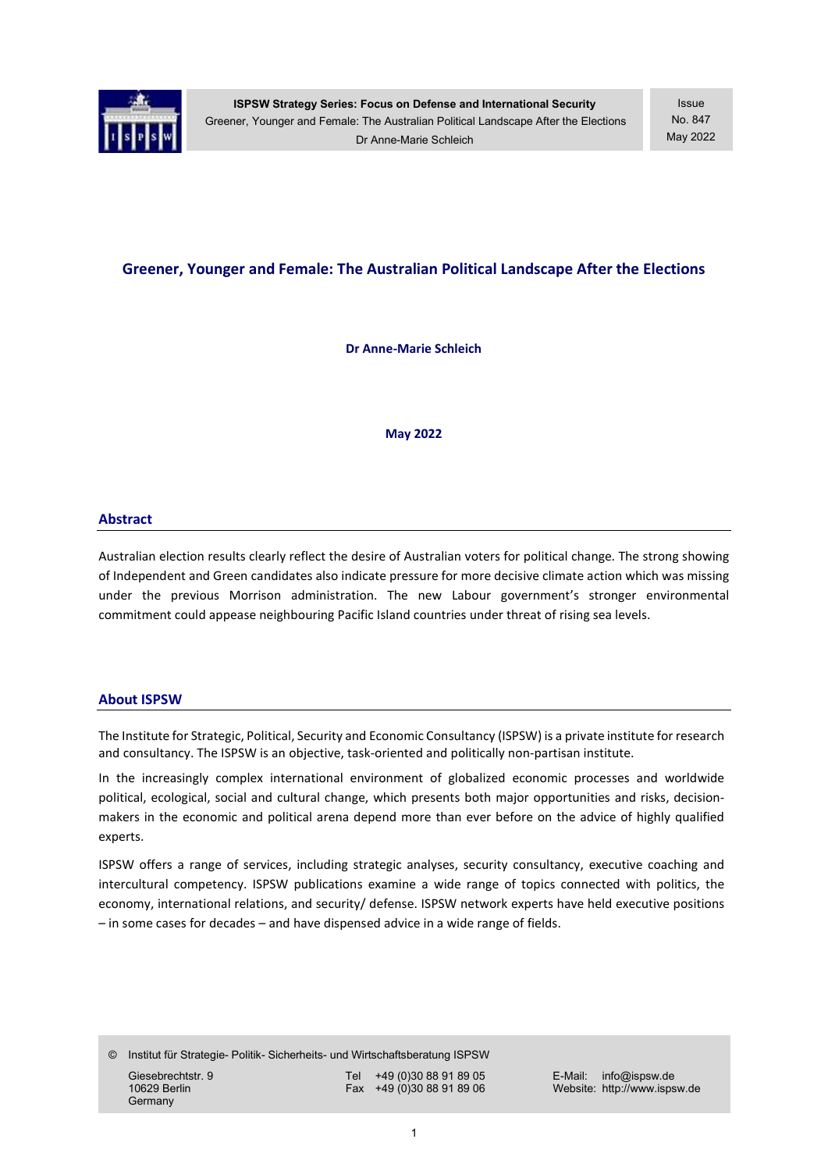

# Greener, Younger and Female: The Australian Political Landscape After the Elections

Dr Anne-Marie Schleich

May 2022

#### Abstract

Australian election results clearly reflect the desire of Australian voters for political change. The strong showing of Independent and Green candidates also indicate pressure for more decisive climate action which was missing under the previous Morrison administration. The new Labour government's stronger environmental commitment could appease neighbouring Pacific Island countries under threat of rising sea levels.

#### About ISPSW

The Institute for Strategic, Political, Security and Economic Consultancy (ISPSW) is a private institute for research and consultancy. The ISPSW is an objective, task-oriented and politically non-partisan institute.

In the increasingly complex international environment of globalized economic processes and worldwide political, ecological, social and cultural change, which presents both major opportunities and risks, decisionmakers in the economic and political arena depend more than ever before on the advice of highly qualified experts.

ISPSW offers a range of services, including strategic analyses, security consultancy, executive coaching and intercultural competency. ISPSW publications examine a wide range of topics connected with politics, the economy, international relations, and security/ defense. ISPSW network experts have held executive positions – in some cases for decades – and have dispensed advice in a wide range of fields.

© Institut für Strategie- Politik- Sicherheits- und Wirtschaftsberatung ISPSW

**Germany** 

Giesebrechtstr. 9 Tel +49 (0)30 88 91 89 05 E-Mail: info@ispsw.de<br>10629 Berlin Fax +49 (0)30 88 91 89 06 Website: http://www.isps

Website: http://www.ispsw.de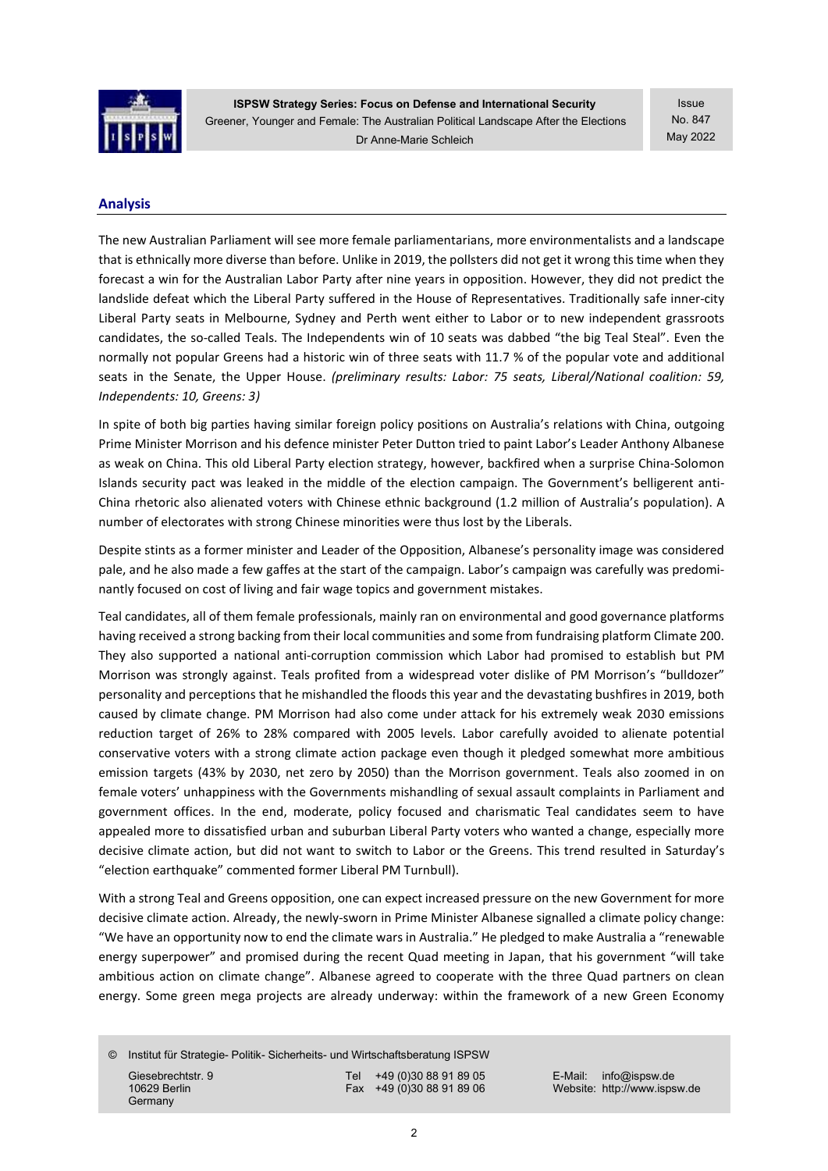

ISPSW Strategy Series: Focus on Defense and International Security Greener, Younger and Female: The Australian Political Landscape After the Elections Dr Anne-Marie Schleich

Issue No. 847 May 2022

## Analysis

The new Australian Parliament will see more female parliamentarians, more environmentalists and a landscape that is ethnically more diverse than before. Unlike in 2019, the pollsters did not get it wrong this time when they forecast a win for the Australian Labor Party after nine years in opposition. However, they did not predict the landslide defeat which the Liberal Party suffered in the House of Representatives. Traditionally safe inner-city Liberal Party seats in Melbourne, Sydney and Perth went either to Labor or to new independent grassroots candidates, the so-called Teals. The Independents win of 10 seats was dabbed "the big Teal Steal". Even the normally not popular Greens had a historic win of three seats with 11.7 % of the popular vote and additional seats in the Senate, the Upper House. (preliminary results: Labor: 75 seats, Liberal/National coalition: 59, Independents: 10, Greens: 3)

In spite of both big parties having similar foreign policy positions on Australia's relations with China, outgoing Prime Minister Morrison and his defence minister Peter Dutton tried to paint Labor's Leader Anthony Albanese as weak on China. This old Liberal Party election strategy, however, backfired when a surprise China-Solomon Islands security pact was leaked in the middle of the election campaign. The Government's belligerent anti-China rhetoric also alienated voters with Chinese ethnic background (1.2 million of Australia's population). A number of electorates with strong Chinese minorities were thus lost by the Liberals.

Despite stints as a former minister and Leader of the Opposition, Albanese's personality image was considered pale, and he also made a few gaffes at the start of the campaign. Labor's campaign was carefully was predominantly focused on cost of living and fair wage topics and government mistakes.

Teal candidates, all of them female professionals, mainly ran on environmental and good governance platforms having received a strong backing from their local communities and some from fundraising platform Climate 200. They also supported a national anti-corruption commission which Labor had promised to establish but PM Morrison was strongly against. Teals profited from a widespread voter dislike of PM Morrison's "bulldozer" personality and perceptions that he mishandled the floods this year and the devastating bushfires in 2019, both caused by climate change. PM Morrison had also come under attack for his extremely weak 2030 emissions reduction target of 26% to 28% compared with 2005 levels. Labor carefully avoided to alienate potential conservative voters with a strong climate action package even though it pledged somewhat more ambitious emission targets (43% by 2030, net zero by 2050) than the Morrison government. Teals also zoomed in on female voters' unhappiness with the Governments mishandling of sexual assault complaints in Parliament and government offices. In the end, moderate, policy focused and charismatic Teal candidates seem to have appealed more to dissatisfied urban and suburban Liberal Party voters who wanted a change, especially more decisive climate action, but did not want to switch to Labor or the Greens. This trend resulted in Saturday's "election earthquake" commented former Liberal PM Turnbull).

With a strong Teal and Greens opposition, one can expect increased pressure on the new Government for more decisive climate action. Already, the newly-sworn in Prime Minister Albanese signalled a climate policy change: "We have an opportunity now to end the climate wars in Australia." He pledged to make Australia a "renewable energy superpower" and promised during the recent Quad meeting in Japan, that his government "will take ambitious action on climate change". Albanese agreed to cooperate with the three Quad partners on clean energy. Some green mega projects are already underway: within the framework of a new Green Economy

© Institut für Strategie- Politik- Sicherheits- und Wirtschaftsberatung ISPSW Giesebrechtstr. 9 Tel +49 (0)30 88 91 89 05 E-Mail: info@ispsw.de<br>10629 Berlin Fax +49 (0)30 88 91 89 06 Website: http://www.isps

**Germany** 

Website: http://www.ispsw.de